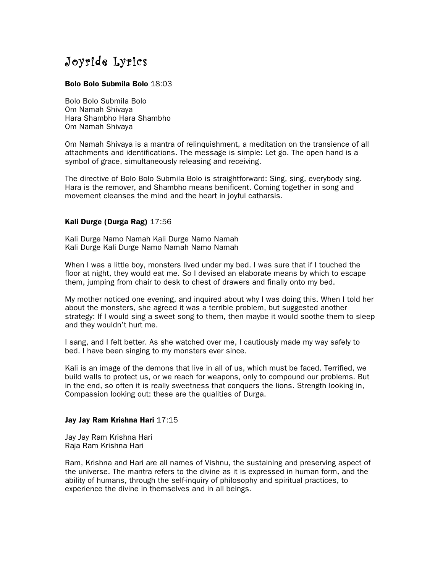# Joyride Lyrics

## Bolo Bolo Submila Bolo 18:03

Bolo Bolo Submila Bolo Om Namah Shivaya Hara Shambho Hara Shambho Om Namah Shivaya

Om Namah Shivaya is a mantra of relinquishment, a meditation on the transience of all attachments and identifications. The message is simple: Let go. The open hand is a symbol of grace, simultaneously releasing and receiving.

The directive of Bolo Bolo Submila Bolo is straightforward: Sing, sing, everybody sing. Hara is the remover, and Shambho means benificent. Coming together in song and movement cleanses the mind and the heart in joyful catharsis.

# Kali Durge (Durga Rag) 17:56

Kali Durge Namo Namah Kali Durge Namo Namah Kali Durge Kali Durge Namo Namah Namo Namah

When I was a little boy, monsters lived under my bed. I was sure that if I touched the floor at night, they would eat me. So I devised an elaborate means by which to escape them, jumping from chair to desk to chest of drawers and finally onto my bed.

My mother noticed one evening, and inquired about why I was doing this. When I told her about the monsters, she agreed it was a terrible problem, but suggested another strategy: If I would sing a sweet song to them, then maybe it would soothe them to sleep and they wouldn't hurt me.

I sang, and I felt better. As she watched over me, I cautiously made my way safely to bed. I have been singing to my monsters ever since.

Kali is an image of the demons that live in all of us, which must be faced. Terrified, we build walls to protect us, or we reach for weapons, only to compound our problems. But in the end, so often it is really sweetness that conquers the lions. Strength looking in, Compassion looking out: these are the qualities of Durga.

#### Jay Jay Ram Krishna Hari 17:15

Jay Jay Ram Krishna Hari Raja Ram Krishna Hari

Ram, Krishna and Hari are all names of Vishnu, the sustaining and preserving aspect of the universe. The mantra refers to the divine as it is expressed in human form, and the ability of humans, through the self-inquiry of philosophy and spiritual practices, to experience the divine in themselves and in all beings.